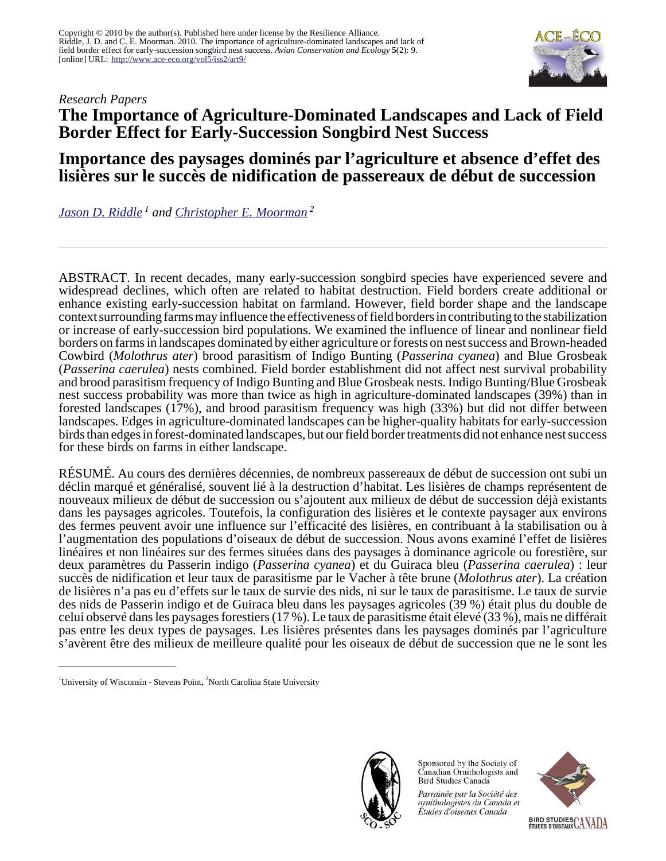

## *Research Papers* **The Importance of Agriculture-Dominated Landscapes and Lack of Field Border Effect for Early-Succession Songbird Nest Success**

# **Importance des paysages dominés par l'agriculture et absence d'effet des lisières sur le succès de nidification de passereaux de début de succession**

*[Jason D. Riddle](mailto:Jason.Riddle@uwsp.edu)<sup>1</sup> and [Christopher E. Moorman](mailto:chris_moorman@ncsu.edu)<sup>2</sup>*

ABSTRACT. In recent decades, many early-succession songbird species have experienced severe and widespread declines, which often are related to habitat destruction. Field borders create additional or enhance existing early-succession habitat on farmland. However, field border shape and the landscape context surrounding farms may influence the effectiveness of field borders in contributing to the stabilization or increase of early-succession bird populations. We examined the influence of linear and nonlinear field borders on farms in landscapes dominated by either agriculture or forests on nest success and Brown-headed Cowbird (*Molothrus ater*) brood parasitism of Indigo Bunting (*Passerina cyanea*) and Blue Grosbeak (*Passerina caerulea*) nests combined. Field border establishment did not affect nest survival probability and brood parasitism frequency of Indigo Bunting and Blue Grosbeak nests. Indigo Bunting/Blue Grosbeak nest success probability was more than twice as high in agriculture-dominated landscapes (39%) than in forested landscapes (17%), and brood parasitism frequency was high (33%) but did not differ between landscapes. Edges in agriculture-dominated landscapes can be higher-quality habitats for early-succession birds than edges in forest-dominated landscapes, but our field border treatments did not enhance nest success for these birds on farms in either landscape.

RÉSUMÉ. Au cours des dernières décennies, de nombreux passereaux de début de succession ont subi un déclin marqué et généralisé, souvent lié à la destruction d'habitat. Les lisières de champs représentent de nouveaux milieux de début de succession ou s'ajoutent aux milieux de début de succession déjà existants dans les paysages agricoles. Toutefois, la configuration des lisières et le contexte paysager aux environs des fermes peuvent avoir une influence sur l'efficacité des lisières, en contribuant à la stabilisation ou à l'augmentation des populations d'oiseaux de début de succession. Nous avons examiné l'effet de lisières linéaires et non linéaires sur des fermes situées dans des paysages à dominance agricole ou forestière, sur deux paramètres du Passerin indigo (*Passerina cyanea*) et du Guiraca bleu (*Passerina caerulea*) : leur succès de nidification et leur taux de parasitisme par le Vacher à tête brune (*Molothrus ater*). La création de lisières n'a pas eu d'effets sur le taux de survie des nids, ni sur le taux de parasitisme. Le taux de survie des nids de Passerin indigo et de Guiraca bleu dans les paysages agricoles (39 %) était plus du double de celui observé dans les paysages forestiers (17 %). Le taux de parasitisme était élevé (33 %), mais ne différait pas entre les deux types de paysages. Les lisières présentes dans les paysages dominés par l'agriculture s'avèrent être des milieux de meilleure qualité pour les oiseaux de début de succession que ne le sont les



Sponsored by the Society of Canadian Ornithologists and Bird Studies Canada

Parrainée par la Société des ornithologistes du Canada et Études d'oiseaux Canada



<sup>&</sup>lt;sup>1</sup>University of Wisconsin - Stevens Point, <sup>2</sup>North Carolina State University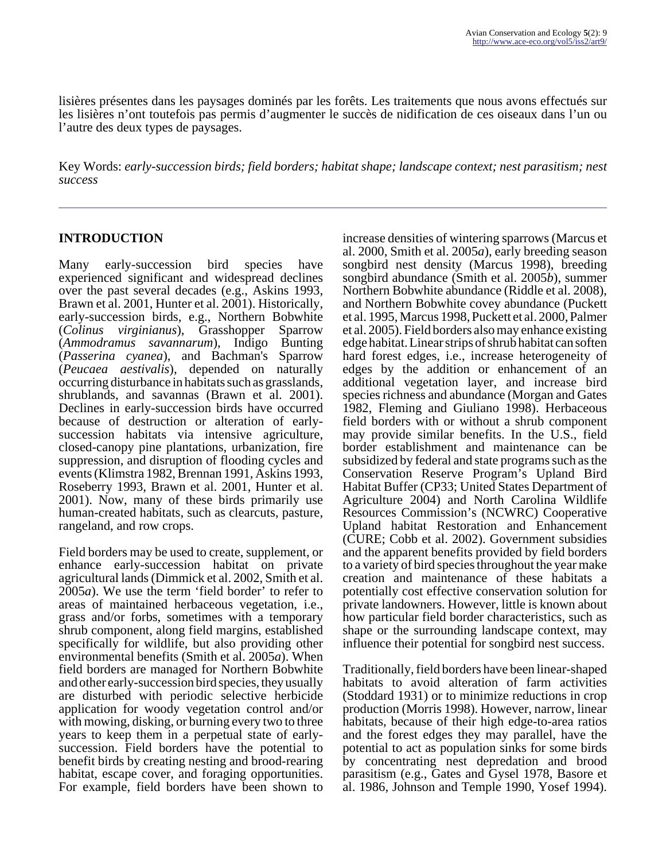lisières présentes dans les paysages dominés par les forêts. Les traitements que nous avons effectués sur les lisières n'ont toutefois pas permis d'augmenter le succès de nidification de ces oiseaux dans l'un ou l'autre des deux types de paysages.

Key Words: *early-succession birds; field borders; habitat shape; landscape context; nest parasitism; nest success*

#### **INTRODUCTION**

Many early-succession bird species have experienced significant and widespread declines over the past several decades (e.g., Askins 1993, Brawn et al. 2001, Hunter et al. 2001). Historically, early-succession birds, e.g., Northern Bobwhite (*Colinus virginianus*), Grasshopper Sparrow (*Ammodramus savannarum*), Indigo Bunting (*Passerina cyanea*), and Bachman's Sparrow (*Peucaea aestivalis*), depended on naturally occurring disturbance in habitats such as grasslands, shrublands, and savannas (Brawn et al. 2001). Declines in early-succession birds have occurred because of destruction or alteration of earlysuccession habitats via intensive agriculture, closed-canopy pine plantations, urbanization, fire suppression, and disruption of flooding cycles and events (Klimstra 1982, Brennan 1991, Askins 1993, Roseberry 1993, Brawn et al. 2001, Hunter et al. 2001). Now, many of these birds primarily use human-created habitats, such as clearcuts, pasture, rangeland, and row crops.

Field borders may be used to create, supplement, or enhance early-succession habitat on private agricultural lands (Dimmick et al. 2002, Smith et al. 2005*a*). We use the term 'field border' to refer to areas of maintained herbaceous vegetation, i.e., grass and/or forbs, sometimes with a temporary shrub component, along field margins, established specifically for wildlife, but also providing other environmental benefits (Smith et al. 2005*a*). When field borders are managed for Northern Bobwhite and other early-succession bird species, they usually are disturbed with periodic selective herbicide application for woody vegetation control and/or with mowing, disking, or burning every two to three years to keep them in a perpetual state of earlysuccession. Field borders have the potential to benefit birds by creating nesting and brood-rearing habitat, escape cover, and foraging opportunities. For example, field borders have been shown to

increase densities of wintering sparrows (Marcus et al. 2000, Smith et al. 2005*a*), early breeding season songbird nest density (Marcus 1998), breeding songbird abundance (Smith et al. 2005*b*), summer Northern Bobwhite abundance (Riddle et al. 2008), and Northern Bobwhite covey abundance (Puckett et al. 1995, Marcus 1998, Puckett et al. 2000, Palmer et al. 2005). Field borders also may enhance existing edge habitat. Linear strips of shrub habitat can soften hard forest edges, i.e., increase heterogeneity of edges by the addition or enhancement of an additional vegetation layer, and increase bird species richness and abundance (Morgan and Gates 1982, Fleming and Giuliano 1998). Herbaceous field borders with or without a shrub component may provide similar benefits. In the U.S., field border establishment and maintenance can be subsidized by federal and state programs such as the Conservation Reserve Program's Upland Bird Habitat Buffer (CP33; United States Department of Agriculture 2004) and North Carolina Wildlife Resources Commission's (NCWRC) Cooperative Upland habitat Restoration and Enhancement (CURE; Cobb et al. 2002). Government subsidies and the apparent benefits provided by field borders to a variety of bird species throughout the year make creation and maintenance of these habitats a potentially cost effective conservation solution for private landowners. However, little is known about how particular field border characteristics, such as shape or the surrounding landscape context, may influence their potential for songbird nest success.

Traditionally, field borders have been linear-shaped habitats to avoid alteration of farm activities (Stoddard 1931) or to minimize reductions in crop production (Morris 1998). However, narrow, linear habitats, because of their high edge-to-area ratios and the forest edges they may parallel, have the potential to act as population sinks for some birds by concentrating nest depredation and brood parasitism (e.g., Gates and Gysel 1978, Basore et al. 1986, Johnson and Temple 1990, Yosef 1994).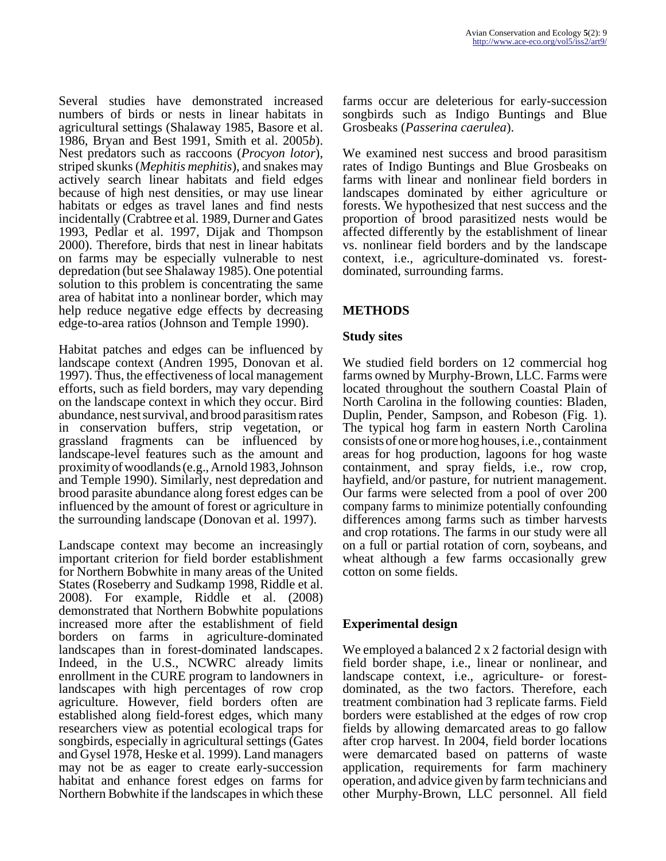Several studies have demonstrated increased numbers of birds or nests in linear habitats in agricultural settings (Shalaway 1985, Basore et al. 1986, Bryan and Best 1991, Smith et al. 2005*b*). Nest predators such as raccoons (*Procyon lotor*), striped skunks (*Mephitis mephitis*), and snakes may actively search linear habitats and field edges because of high nest densities, or may use linear habitats or edges as travel lanes and find nests incidentally (Crabtree et al. 1989, Durner and Gates 1993, Pedlar et al. 1997, Dijak and Thompson 2000). Therefore, birds that nest in linear habitats on farms may be especially vulnerable to nest depredation (but see Shalaway 1985). One potential solution to this problem is concentrating the same area of habitat into a nonlinear border, which may help reduce negative edge effects by decreasing edge-to-area ratios (Johnson and Temple 1990).

Habitat patches and edges can be influenced by landscape context (Andren 1995, Donovan et al. 1997). Thus, the effectiveness of local management efforts, such as field borders, may vary depending on the landscape context in which they occur. Bird abundance, nest survival, and brood parasitism rates in conservation buffers, strip vegetation, or grassland fragments can be influenced by landscape-level features such as the amount and proximity of woodlands (e.g., Arnold 1983, Johnson and Temple 1990). Similarly, nest depredation and brood parasite abundance along forest edges can be influenced by the amount of forest or agriculture in the surrounding landscape (Donovan et al. 1997).

Landscape context may become an increasingly important criterion for field border establishment for Northern Bobwhite in many areas of the United States (Roseberry and Sudkamp 1998, Riddle et al. 2008). For example, Riddle et al. (2008) demonstrated that Northern Bobwhite populations increased more after the establishment of field borders on farms in agriculture-dominated landscapes than in forest-dominated landscapes. Indeed, in the U.S., NCWRC already limits enrollment in the CURE program to landowners in landscapes with high percentages of row crop agriculture. However, field borders often are established along field-forest edges, which many researchers view as potential ecological traps for songbirds, especially in agricultural settings (Gates and Gysel 1978, Heske et al. 1999). Land managers may not be as eager to create early-succession habitat and enhance forest edges on farms for Northern Bobwhite if the landscapes in which these

farms occur are deleterious for early-succession songbirds such as Indigo Buntings and Blue Grosbeaks (*Passerina caerulea*).

We examined nest success and brood parasitism rates of Indigo Buntings and Blue Grosbeaks on farms with linear and nonlinear field borders in landscapes dominated by either agriculture or forests. We hypothesized that nest success and the proportion of brood parasitized nests would be affected differently by the establishment of linear vs. nonlinear field borders and by the landscape context, i.e., agriculture-dominated vs. forestdominated, surrounding farms.

## **METHODS**

#### **Study sites**

We studied field borders on 12 commercial hog farms owned by Murphy-Brown, LLC. Farms were located throughout the southern Coastal Plain of North Carolina in the following counties: Bladen, Duplin, Pender, Sampson, and Robeson (Fig. 1). The typical hog farm in eastern North Carolina consists of one or more hog houses, i.e., containment areas for hog production, lagoons for hog waste containment, and spray fields, i.e., row crop, hayfield, and/or pasture, for nutrient management. Our farms were selected from a pool of over 200 company farms to minimize potentially confounding differences among farms such as timber harvests and crop rotations. The farms in our study were all on a full or partial rotation of corn, soybeans, and wheat although a few farms occasionally grew cotton on some fields.

## **Experimental design**

We employed a balanced 2 x 2 factorial design with field border shape, i.e., linear or nonlinear, and landscape context, i.e., agriculture- or forestdominated, as the two factors. Therefore, each treatment combination had 3 replicate farms. Field borders were established at the edges of row crop fields by allowing demarcated areas to go fallow after crop harvest. In 2004, field border locations were demarcated based on patterns of waste application, requirements for farm machinery operation, and advice given by farm technicians and other Murphy-Brown, LLC personnel. All field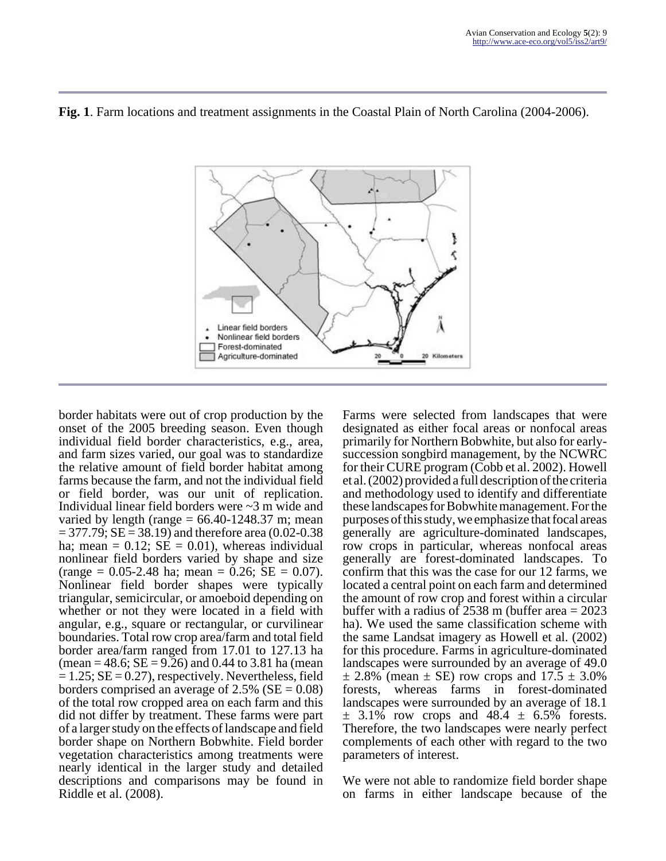

#### **Fig. 1**. Farm locations and treatment assignments in the Coastal Plain of North Carolina (2004-2006).

border habitats were out of crop production by the onset of the 2005 breeding season. Even though individual field border characteristics, e.g., area, and farm sizes varied, our goal was to standardize the relative amount of field border habitat among farms because the farm, and not the individual field or field border, was our unit of replication. Individual linear field borders were ~3 m wide and varied by length (range  $= 66.40 - 1248.37$  m; mean  $= 377.79$ ; SE  $= 38.19$ ) and therefore area (0.02-0.38 ha; mean =  $0.12$ ; SE =  $0.01$ ), whereas individual nonlinear field borders varied by shape and size  $(\text{range} = 0.05\text{-}2.48 \text{ ha}; \text{mean} = 0.26; \text{ SE} = 0.07).$ Nonlinear field border shapes were typically triangular, semicircular, or amoeboid depending on whether or not they were located in a field with angular, e.g., square or rectangular, or curvilinear boundaries. Total row crop area/farm and total field border area/farm ranged from 17.01 to 127.13 ha  $(\text{mean} = 48.6; \text{SE} = 9.26)$  and 0.44 to 3.81 ha (mean  $= 1.25$ ; SE  $= 0.27$ ), respectively. Nevertheless, field borders comprised an average of  $2.5\%$  (SE = 0.08) of the total row cropped area on each farm and this did not differ by treatment. These farms were part of a larger study on the effects of landscape and field border shape on Northern Bobwhite. Field border vegetation characteristics among treatments were nearly identical in the larger study and detailed descriptions and comparisons may be found in Riddle et al. (2008).

Farms were selected from landscapes that were designated as either focal areas or nonfocal areas primarily for Northern Bobwhite, but also for earlysuccession songbird management, by the NCWRC for their CURE program (Cobb et al. 2002). Howell et al. (2002) provided a full description of the criteria and methodology used to identify and differentiate these landscapes for Bobwhite management. For the purposes of this study, we emphasize that focal areas generally are agriculture-dominated landscapes, row crops in particular, whereas nonfocal areas generally are forest-dominated landscapes. To confirm that this was the case for our 12 farms, we located a central point on each farm and determined the amount of row crop and forest within a circular buffer with a radius of 2538 m (buffer area = 2023 ha). We used the same classification scheme with the same Landsat imagery as Howell et al. (2002) for this procedure. Farms in agriculture-dominated landscapes were surrounded by an average of 49.0  $\pm$  2.8% (mean  $\pm$  SE) row crops and 17.5  $\pm$  3.0%<br>forests. whereas farms in forest-dominated whereas farms in forest-dominated landscapes were surrounded by an average of 18.1  $\pm$  3.1% row crops and 48.4  $\pm$  6.5% forests. Therefore, the two landscapes were nearly perfect complements of each other with regard to the two parameters of interest.

We were not able to randomize field border shape on farms in either landscape because of the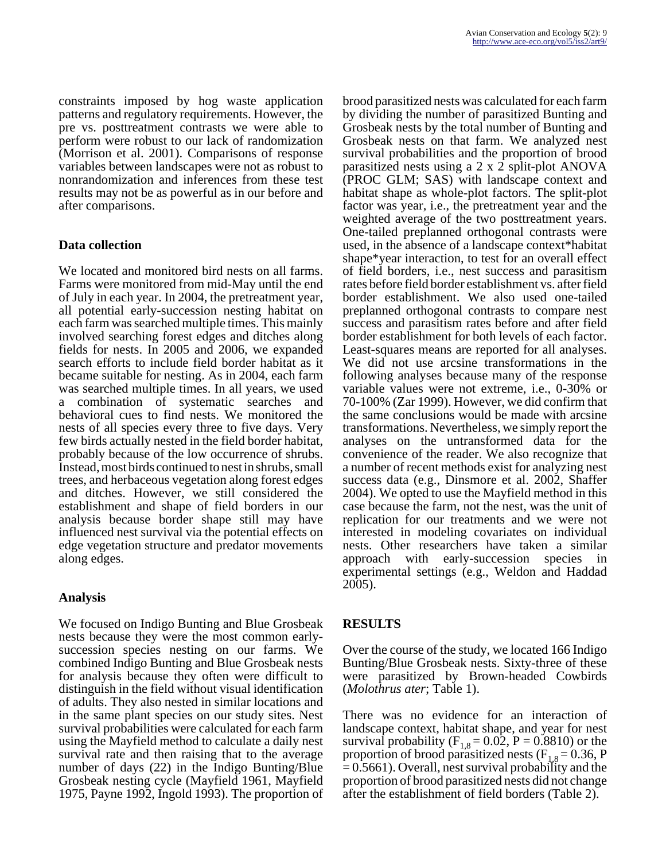constraints imposed by hog waste application patterns and regulatory requirements. However, the pre vs. posttreatment contrasts we were able to perform were robust to our lack of randomization (Morrison et al. 2001). Comparisons of response variables between landscapes were not as robust to nonrandomization and inferences from these test results may not be as powerful as in our before and after comparisons.

#### **Data collection**

We located and monitored bird nests on all farms. Farms were monitored from mid-May until the end of July in each year. In 2004, the pretreatment year, all potential early-succession nesting habitat on each farm was searched multiple times. This mainly involved searching forest edges and ditches along fields for nests. In 2005 and 2006, we expanded search efforts to include field border habitat as it became suitable for nesting. As in 2004, each farm was searched multiple times. In all years, we used a combination of systematic searches and behavioral cues to find nests. We monitored the nests of all species every three to five days. Very few birds actually nested in the field border habitat, probably because of the low occurrence of shrubs. Instead, most birds continued to nest in shrubs, small trees, and herbaceous vegetation along forest edges and ditches. However, we still considered the establishment and shape of field borders in our analysis because border shape still may have influenced nest survival via the potential effects on edge vegetation structure and predator movements along edges.

## **Analysis**

We focused on Indigo Bunting and Blue Grosbeak nests because they were the most common earlysuccession species nesting on our farms. We combined Indigo Bunting and Blue Grosbeak nests for analysis because they often were difficult to distinguish in the field without visual identification of adults. They also nested in similar locations and in the same plant species on our study sites. Nest survival probabilities were calculated for each farm using the Mayfield method to calculate a daily nest survival rate and then raising that to the average number of days (22) in the Indigo Bunting/Blue Grosbeak nesting cycle (Mayfield 1961, Mayfield 1975, Payne 1992, Ingold 1993). The proportion of brood parasitized nests was calculated for each farm by dividing the number of parasitized Bunting and Grosbeak nests by the total number of Bunting and Grosbeak nests on that farm. We analyzed nest survival probabilities and the proportion of brood parasitized nests using a 2 x 2 split-plot ANOVA (PROC GLM; SAS) with landscape context and habitat shape as whole-plot factors. The split-plot factor was year, i.e., the pretreatment year and the weighted average of the two posttreatment years. One-tailed preplanned orthogonal contrasts were used, in the absence of a landscape context\*habitat shape\*year interaction, to test for an overall effect of field borders, i.e., nest success and parasitism rates before field border establishment vs. after field border establishment. We also used one-tailed preplanned orthogonal contrasts to compare nest success and parasitism rates before and after field border establishment for both levels of each factor. Least-squares means are reported for all analyses. We did not use arcsine transformations in the following analyses because many of the response variable values were not extreme, i.e., 0-30% or 70-100% (Zar 1999). However, we did confirm that the same conclusions would be made with arcsine transformations. Nevertheless, we simply report the analyses on the untransformed data for the convenience of the reader. We also recognize that a number of recent methods exist for analyzing nest success data (e.g., Dinsmore et al. 2002, Shaffer 2004). We opted to use the Mayfield method in this case because the farm, not the nest, was the unit of replication for our treatments and we were not interested in modeling covariates on individual nests. Other researchers have taken a similar approach with early-succession species in experimental settings (e.g., Weldon and Haddad 2005).

## **RESULTS**

Over the course of the study, we located 166 Indigo Bunting/Blue Grosbeak nests. Sixty-three of these were parasitized by Brown-headed Cowbirds (*Molothrus ater*; Table 1).

There was no evidence for an interaction of landscape context, habitat shape, and year for nest survival probability ( $F_{1,8} = 0.02$ ,  $P = 0.8810$ ) or the proportion of brood parasitized nests ( $F_{1,8} = 0.36$ , P = 0.5661). Overall, nest survival probability and the proportion of brood parasitized nests did not change after the establishment of field borders (Table 2).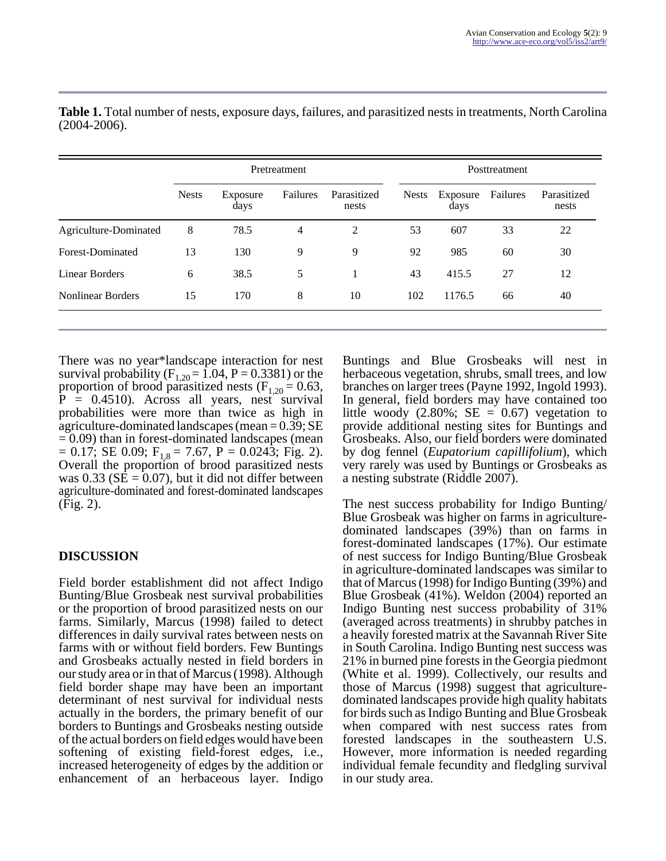|                       | Pretreatment |                  |          |                      | Posttreatment |                  |          |                      |
|-----------------------|--------------|------------------|----------|----------------------|---------------|------------------|----------|----------------------|
|                       | <b>Nests</b> | Exposure<br>days | Failures | Parasitized<br>nests | <b>Nests</b>  | Exposure<br>days | Failures | Parasitized<br>nests |
| Agriculture-Dominated | 8            | 78.5             | 4        | 2                    | 53            | 607              | 33       | 22                   |
| Forest-Dominated      | 13           | 130              | 9        | 9                    | 92            | 985              | 60       | 30                   |
| <b>Linear Borders</b> | 6            | 38.5             | 5        |                      | 43            | 415.5            | 27       | 12                   |
| Nonlinear Borders     | 15           | 170              | 8        | 10                   | 102           | 1176.5           | 66       | 40                   |

**Table 1.** Total number of nests, exposure days, failures, and parasitized nests in treatments, North Carolina (2004-2006).

There was no year\*landscape interaction for nest survival probability ( $F_{1,20} = 1.04$ ,  $P = 0.3381$ ) or the proportion of brood parasitized nests  $(F_{1,20} = 0.63,$  $P = 0.4510$ . Across all years, nest survival probabilities were more than twice as high in agriculture-dominated landscapes (mean = 0.39; SE  $= 0.09$ ) than in forest-dominated landscapes (mean  $= 0.17$ ; SE 0.09; F<sub>1,8</sub> = 7.67, P = 0.0243; Fig. 2). Overall the proportion of brood parasitized nests was  $0.33$  (SE = 0.07), but it did not differ between agriculture-dominated and forest-dominated landscapes (Fig. 2).

#### **DISCUSSION**

Field border establishment did not affect Indigo Bunting/Blue Grosbeak nest survival probabilities or the proportion of brood parasitized nests on our farms. Similarly, Marcus (1998) failed to detect differences in daily survival rates between nests on farms with or without field borders. Few Buntings and Grosbeaks actually nested in field borders in our study area or in that of Marcus (1998). Although field border shape may have been an important determinant of nest survival for individual nests actually in the borders, the primary benefit of our borders to Buntings and Grosbeaks nesting outside of the actual borders on field edges would have been softening of existing field-forest edges, i.e., increased heterogeneity of edges by the addition or enhancement of an herbaceous layer. Indigo Buntings and Blue Grosbeaks will nest in herbaceous vegetation, shrubs, small trees, and low branches on larger trees (Payne 1992, Ingold 1993). In general, field borders may have contained too little woody  $(2.80\%; SE = 0.67)$  vegetation to provide additional nesting sites for Buntings and Grosbeaks. Also, our field borders were dominated by dog fennel (*Eupatorium capillifolium*), which very rarely was used by Buntings or Grosbeaks as a nesting substrate (Riddle 2007).

The nest success probability for Indigo Bunting/ Blue Grosbeak was higher on farms in agriculturedominated landscapes (39%) than on farms in forest-dominated landscapes (17%). Our estimate of nest success for Indigo Bunting/Blue Grosbeak in agriculture-dominated landscapes was similar to that of Marcus (1998) for Indigo Bunting (39%) and Blue Grosbeak (41%). Weldon (2004) reported an Indigo Bunting nest success probability of 31% (averaged across treatments) in shrubby patches in a heavily forested matrix at the Savannah River Site in South Carolina. Indigo Bunting nest success was 21% in burned pine forests in the Georgia piedmont (White et al. 1999). Collectively, our results and those of Marcus (1998) suggest that agriculturedominated landscapes provide high quality habitats for birds such as Indigo Bunting and Blue Grosbeak when compared with nest success rates from forested landscapes in the southeastern U.S. However, more information is needed regarding individual female fecundity and fledgling survival in our study area.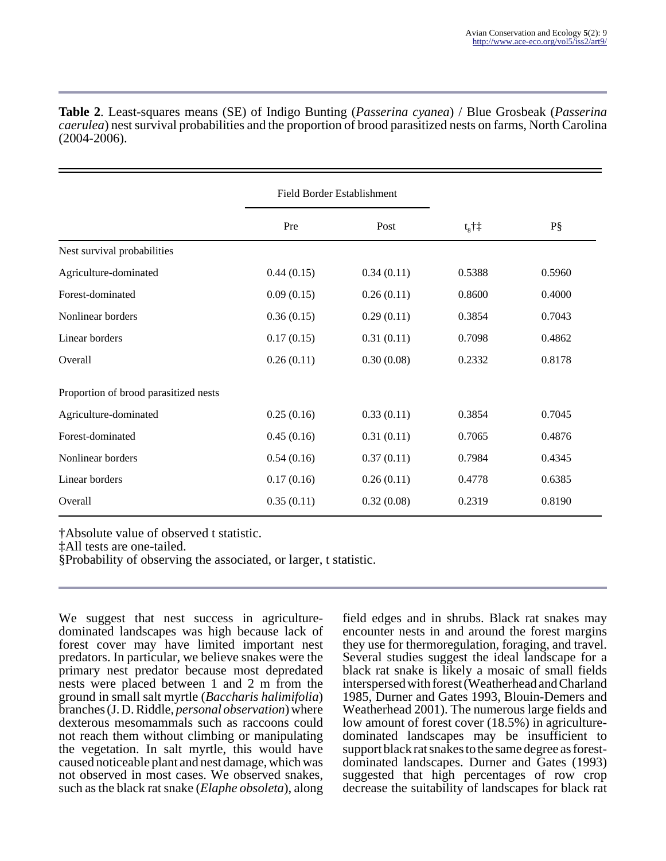|                                       | Field Border Establishment |            |                    |                |
|---------------------------------------|----------------------------|------------|--------------------|----------------|
|                                       | Pre                        | Post       | $t_8$ † $\ddagger$ | P <sub>8</sub> |
| Nest survival probabilities           |                            |            |                    |                |
| Agriculture-dominated                 | 0.44(0.15)                 | 0.34(0.11) | 0.5388             | 0.5960         |
| Forest-dominated                      | 0.09(0.15)                 | 0.26(0.11) | 0.8600             | 0.4000         |
| Nonlinear borders                     | 0.36(0.15)                 | 0.29(0.11) | 0.3854             | 0.7043         |
| Linear borders                        | 0.17(0.15)                 | 0.31(0.11) | 0.7098             | 0.4862         |
| Overall                               | 0.26(0.11)                 | 0.30(0.08) | 0.2332             | 0.8178         |
| Proportion of brood parasitized nests |                            |            |                    |                |
| Agriculture-dominated                 | 0.25(0.16)                 | 0.33(0.11) | 0.3854             | 0.7045         |
| Forest-dominated                      | 0.45(0.16)                 | 0.31(0.11) | 0.7065             | 0.4876         |
| Nonlinear borders                     | 0.54(0.16)                 | 0.37(0.11) | 0.7984             | 0.4345         |
| Linear borders                        | 0.17(0.16)                 | 0.26(0.11) | 0.4778             | 0.6385         |
| Overall                               | 0.35(0.11)                 | 0.32(0.08) | 0.2319             | 0.8190         |

**Table 2**. Least-squares means (SE) of Indigo Bunting (*Passerina cyanea*) / Blue Grosbeak (*Passerina caerulea*) nest survival probabilities and the proportion of brood parasitized nests on farms, North Carolina (2004-2006).

†Absolute value of observed t statistic.

‡All tests are one-tailed.

§Probability of observing the associated, or larger, t statistic.

We suggest that nest success in agriculturedominated landscapes was high because lack of forest cover may have limited important nest predators. In particular, we believe snakes were the primary nest predator because most depredated nests were placed between 1 and 2 m from the ground in small salt myrtle (*Baccharis halimifolia*) branches (J. D. Riddle, *personal observation*) where dexterous mesomammals such as raccoons could not reach them without climbing or manipulating the vegetation. In salt myrtle, this would have caused noticeable plant and nest damage, which was not observed in most cases. We observed snakes, such as the black rat snake (*Elaphe obsoleta*), along

field edges and in shrubs. Black rat snakes may encounter nests in and around the forest margins they use for thermoregulation, foraging, and travel. Several studies suggest the ideal landscape for a black rat snake is likely a mosaic of small fields interspersed with forest (Weatherhead and Charland 1985, Durner and Gates 1993, Blouin-Demers and Weatherhead 2001). The numerous large fields and low amount of forest cover (18.5%) in agriculturedominated landscapes may be insufficient to support black rat snakes to the same degree as forestdominated landscapes. Durner and Gates (1993) suggested that high percentages of row crop decrease the suitability of landscapes for black rat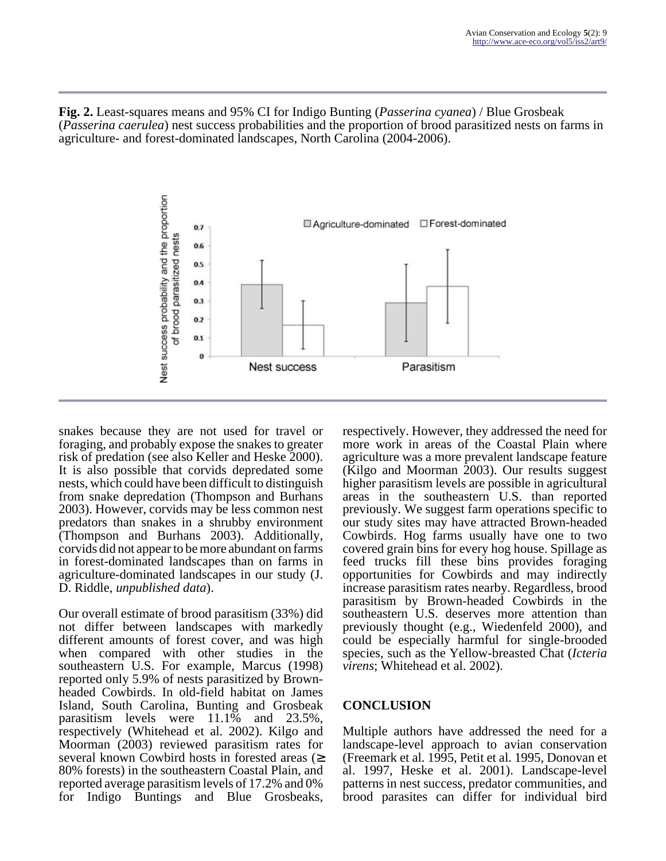**Fig. 2.** Least-squares means and 95% CI for Indigo Bunting (*Passerina cyanea*) / Blue Grosbeak (*Passerina caerulea*) nest success probabilities and the proportion of brood parasitized nests on farms in agriculture- and forest-dominated landscapes, North Carolina (2004-2006).



snakes because they are not used for travel or foraging, and probably expose the snakes to greater risk of predation (see also Keller and Heske 2000). It is also possible that corvids depredated some nests, which could have been difficult to distinguish from snake depredation (Thompson and Burhans 2003). However, corvids may be less common nest predators than snakes in a shrubby environment (Thompson and Burhans 2003). Additionally, corvids did not appear to be more abundant on farms in forest-dominated landscapes than on farms in agriculture-dominated landscapes in our study (J. D. Riddle, *unpublished data*).

Our overall estimate of brood parasitism (33%) did not differ between landscapes with markedly different amounts of forest cover, and was high when compared with other studies in the southeastern U.S. For example, Marcus (1998) reported only 5.9% of nests parasitized by Brownheaded Cowbirds. In old-field habitat on James Island, South Carolina, Bunting and Grosbeak parasitism levels were 11.1% and 23.5%, parasitism levels were  $11.1\%$ respectively (Whitehead et al. 2002). Kilgo and Moorman (2003) reviewed parasitism rates for several known Cowbird hosts in forested areas (≥ 80% forests) in the southeastern Coastal Plain, and reported average parasitism levels of 17.2% and 0% for Indigo Buntings and Blue Grosbeaks,

respectively. However, they addressed the need for more work in areas of the Coastal Plain where agriculture was a more prevalent landscape feature (Kilgo and Moorman 2003). Our results suggest higher parasitism levels are possible in agricultural areas in the southeastern U.S. than reported previously. We suggest farm operations specific to our study sites may have attracted Brown-headed Cowbirds. Hog farms usually have one to two covered grain bins for every hog house. Spillage as feed trucks fill these bins provides foraging opportunities for Cowbirds and may indirectly increase parasitism rates nearby. Regardless, brood parasitism by Brown-headed Cowbirds in the southeastern U.S. deserves more attention than previously thought (e.g., Wiedenfeld 2000), and could be especially harmful for single-brooded species, such as the Yellow-breasted Chat (*Icteria virens*; Whitehead et al. 2002).

#### **CONCLUSION**

Multiple authors have addressed the need for a landscape-level approach to avian conservation (Freemark et al. 1995, Petit et al. 1995, Donovan et al. 1997, Heske et al. 2001). Landscape-level patterns in nest success, predator communities, and brood parasites can differ for individual bird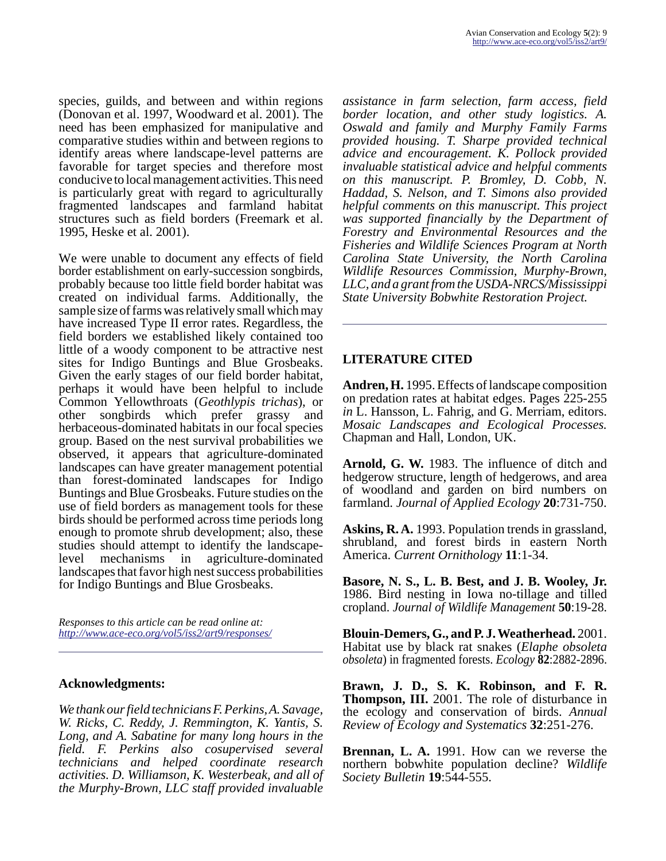species, guilds, and between and within regions (Donovan et al. 1997, Woodward et al. 2001). The need has been emphasized for manipulative and comparative studies within and between regions to identify areas where landscape-level patterns are favorable for target species and therefore most conducive to local management activities. This need is particularly great with regard to agriculturally fragmented landscapes and farmland habitat structures such as field borders (Freemark et al. 1995, Heske et al. 2001).

We were unable to document any effects of field border establishment on early-succession songbirds, probably because too little field border habitat was created on individual farms. Additionally, the sample size of farms was relatively small which may have increased Type II error rates. Regardless, the field borders we established likely contained too little of a woody component to be attractive nest sites for Indigo Buntings and Blue Grosbeaks. Given the early stages of our field border habitat, perhaps it would have been helpful to include Common Yellowthroats (*Geothlypis trichas*), or other songbirds which prefer grassy and herbaceous-dominated habitats in our focal species group. Based on the nest survival probabilities we observed, it appears that agriculture-dominated landscapes can have greater management potential than forest-dominated landscapes for Indigo Buntings and Blue Grosbeaks. Future studies on the use of field borders as management tools for these birds should be performed across time periods long enough to promote shrub development; also, these studies should attempt to identify the landscapelevel mechanisms in agriculture-dominated landscapes that favor high nest success probabilities for Indigo Buntings and Blue Grosbeaks.

*Responses to this article can be read online at: <http://www.ace-eco.org/vol5/iss2/art9/responses/>*

#### **Acknowledgments:**

*We thank our field technicians F. Perkins, A. Savage, W. Ricks, C. Reddy, J. Remmington, K. Yantis, S. Long, and A. Sabatine for many long hours in the field. F. Perkins also cosupervised several technicians and helped coordinate research activities. D. Williamson, K. Westerbeak, and all of the Murphy-Brown, LLC staff provided invaluable*

*assistance in farm selection, farm access, field border location, and other study logistics. A. Oswald and family and Murphy Family Farms provided housing. T. Sharpe provided technical advice and encouragement. K. Pollock provided invaluable statistical advice and helpful comments on this manuscript. P. Bromley, D. Cobb, N. Haddad, S. Nelson, and T. Simons also provided helpful comments on this manuscript. This project was supported financially by the Department of Forestry and Environmental Resources and the Fisheries and Wildlife Sciences Program at North Carolina State University, the North Carolina Wildlife Resources Commission, Murphy-Brown, LLC, and a grant from the USDA-NRCS/Mississippi State University Bobwhite Restoration Project.*

#### **LITERATURE CITED**

**Andren, H.** 1995. Effects of landscape composition on predation rates at habitat edges. Pages 225-255 *in* L. Hansson, L. Fahrig, and G. Merriam, editors. *Mosaic Landscapes and Ecological Processes.* Chapman and Hall, London, UK.

**Arnold, G. W.** 1983. The influence of ditch and hedgerow structure, length of hedgerows, and area of woodland and garden on bird numbers on farmland. *Journal of Applied Ecology* **20**:731-750.

**Askins, R. A.** 1993. Population trends in grassland, shrubland, and forest birds in eastern North America. *Current Ornithology* **11**:1-34.

**Basore, N. S., L. B. Best, and J. B. Wooley, Jr.** 1986. Bird nesting in Iowa no-tillage and tilled cropland. *Journal of Wildlife Management* **50**:19-28.

**Blouin-Demers, G., and P. J. Weatherhead.** 2001. Habitat use by black rat snakes (*Elaphe obsoleta obsoleta*) in fragmented forests. *Ecology* **82**:2882-2896.

**Brawn, J. D., S. K. Robinson, and F. R. Thompson, III.** 2001. The role of disturbance in the ecology and conservation of birds. *Annual Review of Ecology and Systematics* **32**:251-276.

**Brennan, L. A.** 1991. How can we reverse the northern bobwhite population decline? *Wildlife Society Bulletin* **19**:544-555.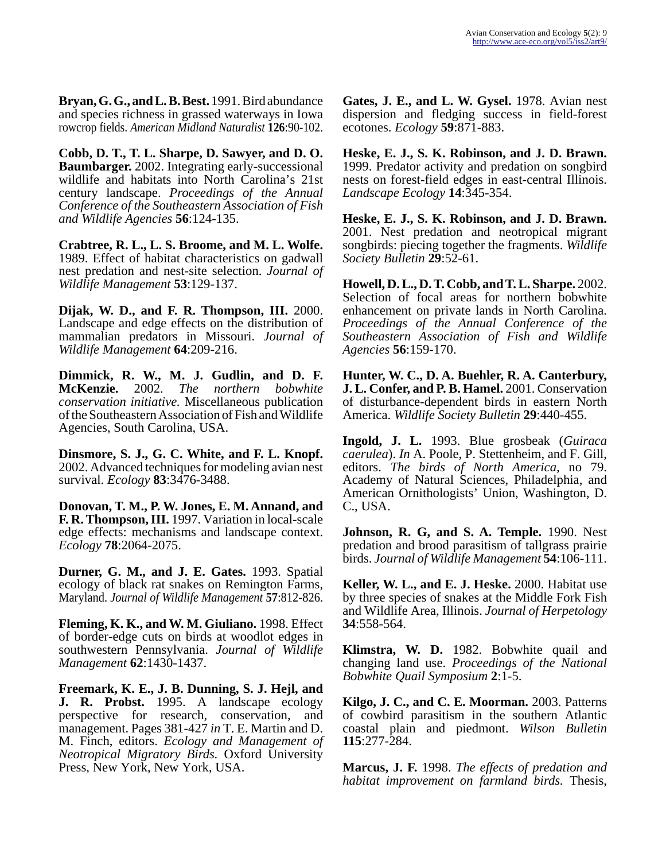**Bryan, G. G., and L. B. Best.** 1991. Bird abundance and species richness in grassed waterways in Iowa rowcrop fields. *American Midland Naturalist* **126**:90-102.

**Cobb, D. T., T. L. Sharpe, D. Sawyer, and D. O. Baumbarger.** 2002. Integrating early-successional wildlife and habitats into North Carolina's 21st century landscape. *Proceedings of the Annual Conference of the Southeastern Association of Fish and Wildlife Agencies* **56**:124-135.

**Crabtree, R. L., L. S. Broome, and M. L. Wolfe.** 1989. Effect of habitat characteristics on gadwall nest predation and nest-site selection. *Journal of Wildlife Management* **53**:129-137.

**Dijak, W. D., and F. R. Thompson, III.** 2000. Landscape and edge effects on the distribution of mammalian predators in Missouri. *Journal of Wildlife Management* **64**:209-216.

**Dimmick, R. W., M. J. Gudlin, and D. F. McKenzie.** 2002. *The northern bobwhite conservation initiative.* Miscellaneous publication of the Southeastern Association of Fish and Wildlife Agencies, South Carolina, USA.

**Dinsmore, S. J., G. C. White, and F. L. Knopf.** 2002. Advanced techniques for modeling avian nest survival. *Ecology* **83**:3476-3488.

**Donovan, T. M., P. W. Jones, E. M. Annand, and F. R. Thompson, III.** 1997. Variation in local-scale edge effects: mechanisms and landscape context. *Ecology* **78**:2064-2075.

**Durner, G. M., and J. E. Gates.** 1993. Spatial ecology of black rat snakes on Remington Farms, Maryland. *Journal of Wildlife Management* **57**:812-826.

**Fleming, K. K., and W. M. Giuliano.** 1998. Effect of border-edge cuts on birds at woodlot edges in southwestern Pennsylvania. *Journal of Wildlife Management* **62**:1430-1437.

**Freemark, K. E., J. B. Dunning, S. J. Hejl, and J. R. Probst.** 1995. A landscape ecology perspective for research, conservation, and management. Pages 381-427 *in* T. E. Martin and D. M. Finch, editors. *Ecology and Management of Neotropical Migratory Birds.* Oxford University Press, New York, New York, USA.

**Gates, J. E., and L. W. Gysel.** 1978. Avian nest dispersion and fledging success in field-forest ecotones. *Ecology* **59**:871-883.

**Heske, E. J., S. K. Robinson, and J. D. Brawn.** 1999. Predator activity and predation on songbird nests on forest-field edges in east-central Illinois. *Landscape Ecology* **14**:345-354.

**Heske, E. J., S. K. Robinson, and J. D. Brawn.** 2001. Nest predation and neotropical migrant songbirds: piecing together the fragments. *Wildlife Society Bulletin* **29**:52-61.

**Howell, D. L., D. T. Cobb, and T. L. Sharpe.** 2002. Selection of focal areas for northern bobwhite enhancement on private lands in North Carolina. *Proceedings of the Annual Conference of the Southeastern Association of Fish and Wildlife Agencies* **56**:159-170.

**Hunter, W. C., D. A. Buehler, R. A. Canterbury, J. L. Confer, and P. B. Hamel.** 2001. Conservation of disturbance-dependent birds in eastern North America. *Wildlife Society Bulletin* **29**:440-455.

**Ingold, J. L.** 1993. Blue grosbeak (*Guiraca caerulea*). *In* A. Poole, P. Stettenheim, and F. Gill, editors. *The birds of North America,* no 79. Academy of Natural Sciences, Philadelphia, and American Ornithologists' Union, Washington, D. C., USA.

**Johnson, R. G, and S. A. Temple.** 1990. Nest predation and brood parasitism of tallgrass prairie birds. *Journal of Wildlife Management* **54**:106-111.

**Keller, W. L., and E. J. Heske.** 2000. Habitat use by three species of snakes at the Middle Fork Fish and Wildlife Area, Illinois. *Journal of Herpetology* **34**:558-564.

**Klimstra, W. D.** 1982. Bobwhite quail and changing land use. *Proceedings of the National Bobwhite Quail Symposium* **2**:1-5.

**Kilgo, J. C., and C. E. Moorman.** 2003. Patterns of cowbird parasitism in the southern Atlantic coastal plain and piedmont. *Wilson Bulletin* **115**:277-284.

**Marcus, J. F.** 1998. *The effects of predation and habitat improvement on farmland birds.* Thesis,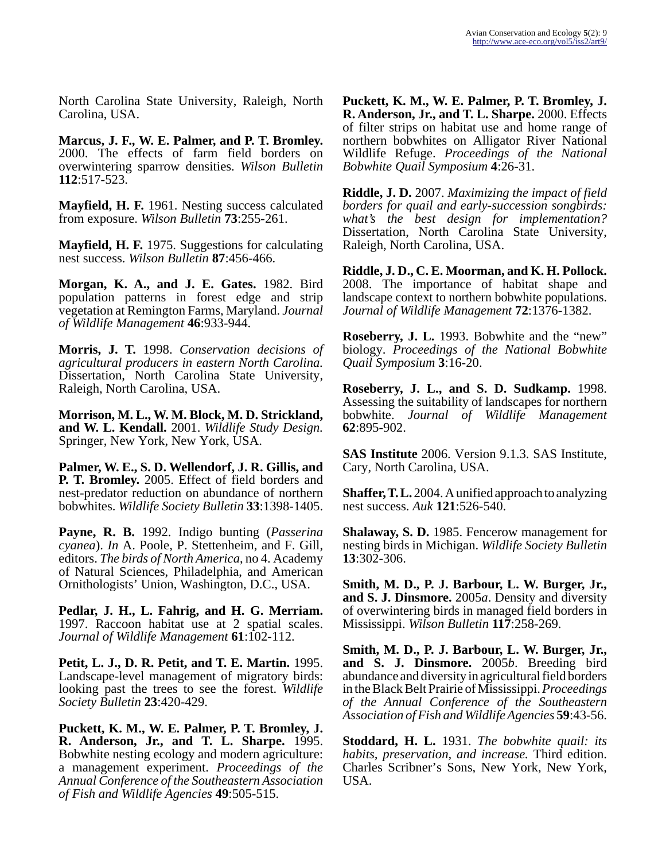North Carolina State University, Raleigh, North Carolina, USA.

**Marcus, J. F., W. E. Palmer, and P. T. Bromley.** 2000. The effects of farm field borders on overwintering sparrow densities. *Wilson Bulletin* **112**:517-523.

**Mayfield, H. F.** 1961. Nesting success calculated from exposure. *Wilson Bulletin* **73**:255-261.

**Mayfield, H. F.** 1975. Suggestions for calculating nest success. *Wilson Bulletin* **87**:456-466.

**Morgan, K. A., and J. E. Gates.** 1982. Bird population patterns in forest edge and strip vegetation at Remington Farms, Maryland. *Journal of Wildlife Management* **46**:933-944.

**Morris, J. T.** 1998. *Conservation decisions of agricultural producers in eastern North Carolina.* Dissertation, North Carolina State University, Raleigh, North Carolina, USA.

**Morrison, M. L., W. M. Block, M. D. Strickland, and W. L. Kendall.** 2001. *Wildlife Study Design.* Springer, New York, New York, USA.

**Palmer, W. E., S. D. Wellendorf, J. R. Gillis, and P. T. Bromley.** 2005. Effect of field borders and nest-predator reduction on abundance of northern bobwhites. *Wildlife Society Bulletin* **33**:1398-1405.

**Payne, R. B.** 1992. Indigo bunting (*Passerina cyanea*). *In* A. Poole, P. Stettenheim, and F. Gill, editors. *The birds of North America*, no 4. Academy of Natural Sciences, Philadelphia, and American Ornithologists' Union, Washington, D.C., USA.

**Pedlar, J. H., L. Fahrig, and H. G. Merriam.** 1997. Raccoon habitat use at 2 spatial scales. *Journal of Wildlife Management* **61**:102-112.

**Petit, L. J., D. R. Petit, and T. E. Martin.** 1995. Landscape-level management of migratory birds: looking past the trees to see the forest. *Wildlife Society Bulletin* **23**:420-429.

**Puckett, K. M., W. E. Palmer, P. T. Bromley, J. R. Anderson, Jr., and T. L. Sharpe.** 1995. Bobwhite nesting ecology and modern agriculture: a management experiment. *Proceedings of the Annual Conference of the Southeastern Association of Fish and Wildlife Agencies* **49**:505-515.

**Puckett, K. M., W. E. Palmer, P. T. Bromley, J. R. Anderson, Jr., and T. L. Sharpe.** 2000. Effects of filter strips on habitat use and home range of northern bobwhites on Alligator River National Wildlife Refuge. *Proceedings of the National Bobwhite Quail Symposium* **4**:26-31.

**Riddle, J. D.** 2007. *Maximizing the impact of field borders for quail and early-succession songbirds: what's the best design for implementation?* Dissertation, North Carolina State University, Raleigh, North Carolina, USA.

**Riddle, J. D., C. E. Moorman, and K. H. Pollock.** 2008. The importance of habitat shape and landscape context to northern bobwhite populations. *Journal of Wildlife Management* **72**:1376-1382.

**Roseberry, J. L.** 1993. Bobwhite and the "new" biology. *Proceedings of the National Bobwhite Quail Symposium* **3**:16-20.

**Roseberry, J. L., and S. D. Sudkamp.** 1998. Assessing the suitability of landscapes for northern bobwhite. *Journal of Wildlife Management* **62**:895-902.

**SAS Institute** 2006. Version 9.1.3. SAS Institute, Cary, North Carolina, USA.

**Shaffer, T. L.** 2004. A unified approach to analyzing nest success. *Auk* **121**:526-540.

**Shalaway, S. D.** 1985. Fencerow management for nesting birds in Michigan. *Wildlife Society Bulletin* **13**:302-306.

**Smith, M. D., P. J. Barbour, L. W. Burger, Jr., and S. J. Dinsmore.** 2005*a*. Density and diversity of overwintering birds in managed field borders in Mississippi. *Wilson Bulletin* **117**:258-269.

**Smith, M. D., P. J. Barbour, L. W. Burger, Jr., and S. J. Dinsmore.** 2005*b*. Breeding bird abundance and diversity in agricultural field borders in the Black Belt Prairie of Mississippi. *Proceedings of the Annual Conference of the Southeastern Association of Fish and Wildlife Agencies* **59**:43-56.

**Stoddard, H. L.** 1931. *The bobwhite quail: its habits, preservation, and increase.* Third edition. Charles Scribner's Sons, New York, New York, USA.